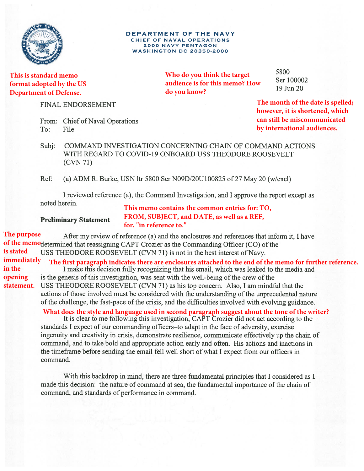

**This is standard memo format adopted by the US Department of Defense.**

**FINAL ENDORSEMENT** 

|          | From: Chief of Naval Operations |
|----------|---------------------------------|
| To: File |                                 |

**Who do you think the target audience is for this memo? How do you know?** 

5800 Ser 100002 19 Jun 20

**The month of the date is spelled; however, it is shortened, which can still be miscommunicated by international audiences.**

COMMAND INVESTIGATION CONCERNING CHAIN OF COMMAND ACTIONS Subi: WITH REGARD TO COVID-19 ONBOARD USS THEODORE ROOSEVELT  $(CVN 71)$ 

DEPARTMENT OF THE NAVY CHIEF OF NAVAL OPERATIONS **2000 NAVY PENTAGON WASHINGTON DC 20350-2000** 

Ref: (a) ADM R. Burke, USN ltr 5800 Ser N09D/20U100825 of 27 May 20 (w/encl)

I reviewed reference (a), the Command Investigation, and I approve the report except as noted herein.

**Preliminary Statement** 

**This memo contains the common entries for: TO, FROM, SUBJECT, and DATE, as well as a REF, for, "in reference to."** 

### **The purpose**  After my review of reference (a) and the enclosures and references that inform it, I have of the memodetermined that reassigning CAPT Crozier as the Commanding Officer (CO) of the **is stated**  USS THEODORE ROOSEVELT (CVN 71) is not in the best interest of Navy. **immediately The first paragraph indicates there are enclosures attached to the end of the memo for further reference. in the opening**  is the genesis of this investigation, was sent with the well-being of the crew of the statement. USS THEODORE ROOSEVELT (CVN 71) as his top concern. Also, I am mindful that the actions of those involved must be considered with the understanding of the unprecedented nature of the challenge, the fast-pace of the crisis, and the difficulties involved with evolving guidance. What does the style and language used in second paragraph suggest about the tone of the writer?<br>It is clear to me following this investigation, CAPT Crozier did not act according to the

standards I expect of our commanding officers-to adapt in the face of adversity, exercise ingenuity and creativity in crisis, demonstrate resilience, communicate effectively up the chain of command, and to take bold and appropriate action early and often. His actions and inactions in the timeframe before sending the email fell well short of what I expect from our officers in command.

With this backdrop in mind, there are three fundamental principles that I considered as I made this decision: the nature of command at sea, the fundamental importance of the chain of command, and standards of performance in command.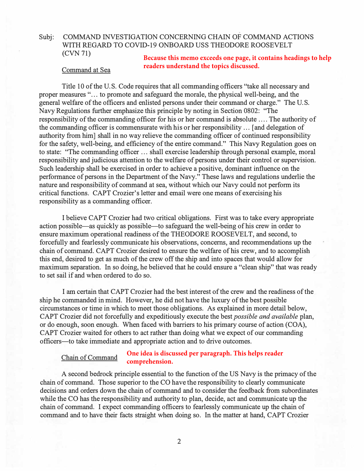# Subj: COMMAND INVESTIGATION CONCERNING CHAIN OF COMMAND ACTIONS WITH REGARD TO COVID-19 ONBOARD USS THEODORE ROOSEVELT (CVN 71)

### Command at Sea

**Because this memo exceeds one page, it contains headings to help readers understand the topics discussed.**

Title 10 of the U.S. Code requires that all commanding officers "take all necessary and proper measures "... to promote and safeguard the morale, the physical well-being, and the general welfare of the officers and enlisted persons under their command or charge." The U.S. Navy Regulations further emphasize this principle by noting in Section 0802: "The responsibility of the commanding officer for his or her command is absolute .... The authority of the commanding officer is commensurate with his or her responsibility ... [ and delegation of authority from him] shall in no way relieve the commanding officer of continued responsibility for the safety, well-being, and efficiency of the entire command." This Navy Regulation goes on to state: "The commanding officer ... shall exercise leadership through personal example, moral responsibility and judicious attention to the welfare of persons under their control or supervision. Such leadership shall be exercised in order to achieve a positive, dominant influence on the performance of persons in the Department of the Navy." These laws and regulations underlie the nature and responsibility of command at sea, without which our Navy could not perform its critical functions. CAPT Crozier's letter and email were one means of exercising his responsibility as a commanding officer.

I believe CAPT Crozier had two critical obligations. First was to take every appropriate action possible-as quickly as possible-to safeguard the well-being of his crew in order to ensure maximum operational readiness of the THEODORE ROOSEVELT, and second, to forcefully and fearlessly communicate his observations, concerns, and recommendations up the chain of command. CAPT Crozier desired to ensure the welfare of his crew, and to accomplish this end, desired to get as much of the crew off the ship and into spaces that would allow for maximum separation. In so doing, he believed that he could ensure a "clean ship" that was ready to set sail if and when ordered to do so.

I am certain that CAPT Crozier had the best interest of the crew and the readiness of the ship he commanded in mind. However, he did not have the luxury of the best possible circumstances or time in which to meet those obligations. As explained in more detail below, CAPT Crozier did not forcefully and expeditiously execute the best *possible and available* plan, or do enough, soon enough. When faced with barriers to his primary course of action (COA), CAPT Crozier waited for others to act rather than doing what we expect of our commanding officers—to take immediate and appropriate action and to drive outcomes.

#### Chain of Command **One idea is discussed per paragraph. This helps reader comprehension.**

A second bedrock principle essential to the function of the US Navy is the primacy of the chain of command. Those superior to the CO have the responsibility to clearly communicate decisions and orders down the chain of command and to consider the feedback from subordinates while the CO has the responsibility and authority to plan, decide, act and communicate up the chain of command. I expect commanding officers to fearlessly communicate up the chain of command and to have their facts straight when doing so. In the matter at hand, CAPT Crozier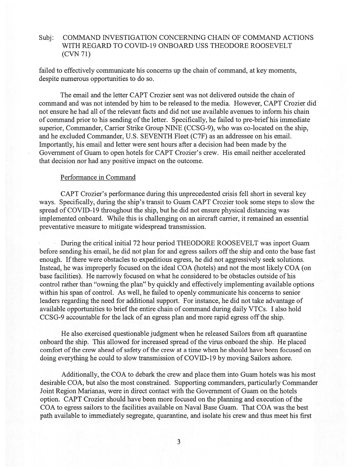#### COMMAND INVESTIGATION CONCERNING CHAIN OF COMMAND ACTIONS Subi: WITH REGARD TO COVID-19 ONBOARD USS THEODORE ROOSEVELT  $(CVN 71)$

failed to effectively communicate his concerns up the chain of command, at key moments, despite numerous opportunities to do so.

The email and the letter CAPT Crozier sent was not delivered outside the chain of command and was not intended by him to be released to the media. However, CAPT Crozier did not ensure he had all of the relevant facts and did not use available avenues to inform his chain of command prior to his sending of the letter. Specifically, he failed to pre-brief his immediate superior, Commander, Carrier Strike Group NINE (CCSG-9), who was co-located on the ship, and he excluded Commander, U.S. SEVENTH Fleet (C7F) as an addressee on his email. Importantly, his email and letter were sent hours after a decision had been made by the Government of Guam to open hotels for CAPT Crozier's crew. His email neither accelerated that decision nor had any positive impact on the outcome.

# Performance in Command

CAPT Crozier's performance during this unprecedented crisis fell short in several key ways. Specifically, during the ship's transit to Guam CAPT Crozier took some steps to slow the spread of COVID-19 throughout the ship, but he did not ensure physical distancing was implemented onboard. While this is challenging on an aircraft carrier, it remained an essential preventative measure to mitigate widespread transmission.

During the critical initial 72 hour period THEODORE ROOSEVELT was inport Guam before sending his email, he did not plan for and egress sailors off the ship and onto the base fast enough. If there were obstacles to expeditious egress, he did not aggressively seek solutions. Instead, he was improperly focused on the ideal COA (hotels) and not the most likely COA (on base facilities). He narrowly focused on what he considered to be obstacles outside of his control rather than "owning the plan" by quickly and effectively implementing available options within his span of control. As well, he failed to openly communicate his concerns to senior leaders regarding the need for additional support. For instance, he did not take advantage of available opportunities to brief the entire chain of command during daily VTCs. I also hold CCSG-9 accountable for the lack of an egress plan and more rapid egress off the ship.

He also exercised questionable judgment when he released Sailors from aft quarantine onboard the ship. This allowed for increased spread of the virus onboard the ship. He placed comfort of the crew ahead of safety of the crew at a time when he should have been focused on doing everything he could to slow transmission of COVID-19 by moving Sailors ashore.

Additionally, the COA to debark the crew and place them into Guam hotels was his most desirable COA, but also the most constrained. Supporting commanders, particularly Commander Joint Region Marianas, were in direct contact with the Government of Guam on the hotels option. CAPT Crozier should have been more focused on the planning and execution of the COA to egress sailors to the facilities available on Naval Base Guam. That COA was the best path available to immediately segregate, quarantine, and isolate his crew and thus meet his first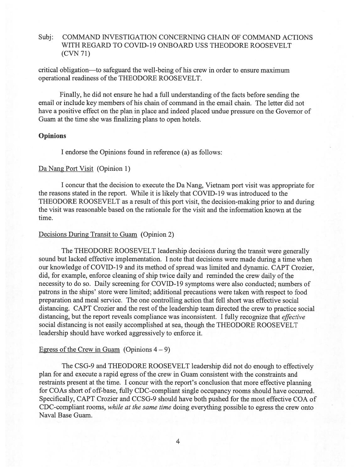#### Subj: COMMAND INVESTIGATION CONCERNING CHAIN OF COMMAND ACTIONS WITH REGARD TO COVID-19 ONBOARD USS THEODORE ROOSEVELT  $(CVN 71)$

critical obligation—to safeguard the well-being of his crew in order to ensure maximum operational readiness of the THEODORE ROOSEVELT.

Finally, he did not ensure he had a full understanding of the facts before sending the email or include key members of his chain of command in the email chain. The letter did not have a positive effect on the plan in place and indeed placed undue pressure on the Governor of Guam at the time she was finalizing plans to open hotels.

# **Opinions**

I endorse the Opinions found in reference (a) as follows:

# Da Nang Port Visit (Opinion 1)

I concur that the decision to execute the Da Nang, Vietnam port visit was appropriate for the reasons stated in the report. While it is likely that COVID-19 was introduced to the THEODORE ROOSEVELT as a result of this port visit, the decision-making prior to and during the visit was reasonable based on the rationale for the visit and the information known at the time.

# Decisions During Transit to Guam (Opinion 2)

The THEODORE ROOSEVELT leadership decisions during the transit were generally sound but lacked effective implementation. I note that decisions were made during a time when our knowledge of COVID-19 and its method of spread was limited and dynamic. CAPT Crozier, did, for example, enforce cleaning of ship twice daily and reminded the crew daily of the necessity to do so. Daily screening for COVID-19 symptoms were also conducted; numbers of patrons in the ships' store were limited; additional precautions were taken with respect to food preparation and meal service. The one controlling action that fell short was effective social distancing. CAPT Crozier and the rest of the leadership team directed the crew to practice social distancing, but the report reveals compliance was inconsistent. I fully recognize that *effective* social distancing is not easily accomplished at sea, though the THEODORE ROOSEVELT leadership should have worked aggressively to enforce it.

# Egress of the Crew in Guam (Opinions  $4-9$ )

The CSG-9 and THEODORE ROOSEVELT leadership did not do enough to effectively plan for and execute a rapid egress of the crew in Guam consistent with the constraints and restraints present at the time. I concur with the report's conclusion that more effective planning for COAs short of off-base, fully CDC-compliant single occupancy rooms should have occurred. Specifically, CAPT Crozier and CCSG-9 should have both pushed for the most effective COA of CDC-compliant rooms, while at the same time doing everything possible to egress the crew onto Naval Base Guam.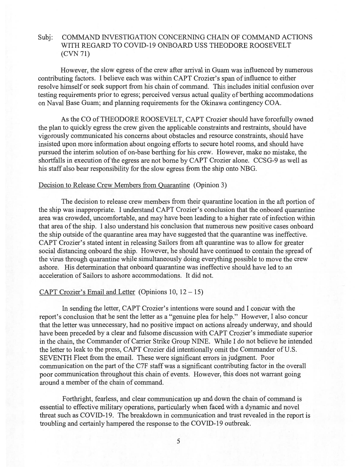### COMMAND INVESTIGATION CONCERNING CHAIN OF COMMAND ACTIONS Subi: WITH REGARD TO COVID-19 ONBOARD USS THEODORE ROOSEVELT  $(CVN 71)$

However, the slow egress of the crew after arrival in Guam was influenced by numerous contributing factors. I believe each was within CAPT Crozier's span of influence to either resolve himself or seek support from his chain of command. This includes initial confusion over testing requirements prior to egress; perceived versus actual quality of berthing accommodations on Naval Base Guam; and planning requirements for the Okinawa contingency COA.

As the CO of THEODORE ROOSEVELT, CAPT Crozier should have forcefully owned the plan to quickly egress the crew given the applicable constraints and restraints, should have vigorously communicated his concerns about obstacles and resource constraints, should have insisted upon more information about ongoing efforts to secure hotel rooms, and should have pursued the interim solution of on-base berthing for his crew. However, make no mistake, the shortfalls in execution of the egress are not borne by CAPT Crozier alone. CCSG-9 as well as his staff also bear responsibility for the slow egress from the ship onto NBG.

### Decision to Release Crew Members from Quarantine (Opinion 3)

The decision to release crew members from their quarantine location in the aft portion of the ship was inappropriate. I understand CAPT Crozier's conclusion that the onboard quarantine area was crowded, uncomfortable, and may have been leading to a higher rate of infection within that area of the ship. I also understand his conclusion that numerous new positive cases onboard the ship outside of the quarantine area may have suggested that the quarantine was ineffective. CAPT Crozier's stated intent in releasing Sailors from aft quarantine was to allow for greater social distancing onboard the ship. However, he should have continued to contain the spread of the virus through quarantine while simultaneously doing everything possible to move the crew ashore. His determination that onboard quarantine was ineffective should have led to an acceleration of Sailors to ashore accommodations. It did not.

# CAPT Crozier's Email and Letter (Opinions  $10$ ,  $12 - 15$ )

In sending the letter, CAPT Crozier's intentions were sound and I concur with the report's conclusion that he sent the letter as a "genuine plea for help." However, I also concur that the letter was unnecessary, had no positive impact on actions already underway, and should have been preceded by a clear and fulsome discussion with CAPT Crozier's immediate superior in the chain, the Commander of Carrier Strike Group NINE. While I do not believe he intended the letter to leak to the press, CAPT Crozier did intentionally omit the Commander of U.S. SEVENTH Fleet from the email. These were significant errors in judgment. Poor communication on the part of the C7F staff was a significant contributing factor in the overall poor communication throughout this chain of events. However, this does not warrant going around a member of the chain of command.

Forthright, fearless, and clear communication up and down the chain of command is essential to effective military operations, particularly when faced with a dynamic and novel threat such as COVID-19. The breakdown in communication and trust revealed in the report is troubling and certainly hampered the response to the COVID-19 outbreak.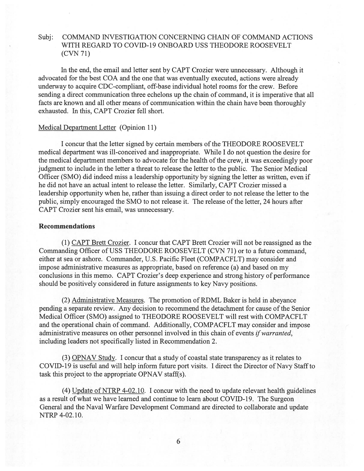#### COMMAND INVESTIGATION CONCERNING CHAIN OF COMMAND ACTIONS Subi: WITH REGARD TO COVID-19 ONBOARD USS THEODORE ROOSEVELT  $(CVN 71)$

In the end, the email and letter sent by CAPT Crozier were unnecessary. Although it advocated for the best COA and the one that was eventually executed, actions were already underway to acquire CDC-compliant, off-base individual hotel rooms for the crew. Before sending a direct communication three echelons up the chain of command, it is imperative that all facts are known and all other means of communication within the chain have been thoroughly exhausted. In this, CAPT Crozier fell short.

# Medical Department Letter (Opinion 11)

I concur that the letter signed by certain members of the THEODORE ROOSEVELT medical department was ill-conceived and inappropriate. While I do not question the desire for the medical department members to advocate for the health of the crew, it was exceedingly poor judgment to include in the letter a threat to release the letter to the public. The Senior Medical Officer (SMO) did indeed miss a leadership opportunity by signing the letter as written, even if he did not have an actual intent to release the letter. Similarly, CAPT Crozier missed a leadership opportunity when he, rather than issuing a direct order to not release the letter to the public, simply encouraged the SMO to not release it. The release of the letter, 24 hours after CAPT Crozier sent his email, was unnecessary.

# **Recommendations**

(1) CAPT Brett Crozier. I concur that CAPT Brett Crozier will not be reassigned as the Commanding Officer of USS THEODORE ROOSEVELT (CVN 71) or to a future command, either at sea or ashore. Commander, U.S. Pacific Fleet (COMPACFLT) may consider and impose administrative measures as appropriate, based on reference (a) and based on my conclusions in this memo. CAPT Crozier's deep experience and strong history of performance should be positively considered in future assignments to key Navy positions.

(2) Administrative Measures. The promotion of RDML Baker is held in abeyance pending a separate review. Any decision to recommend the detachment for cause of the Senior Medical Officer (SMO) assigned to THEODORE ROOSEVELT will rest with COMPACFLT and the operational chain of command. Additionally, COMPACFLT may consider and impose administrative measures on other personnel involved in this chain of events if warranted, including leaders not specifically listed in Recommendation 2.

(3) OPNAV Study. I concur that a study of coastal state transparency as it relates to COVID-19 is useful and will help inform future port visits. I direct the Director of Navy Staff to task this project to the appropriate OPNAV staff(s).

(4) Update of NTRP 4-02.10. I concur with the need to update relevant health guidelines as a result of what we have learned and continue to learn about COVID-19. The Surgeon General and the Naval Warfare Development Command are directed to collaborate and update NTRP 4-02.10.